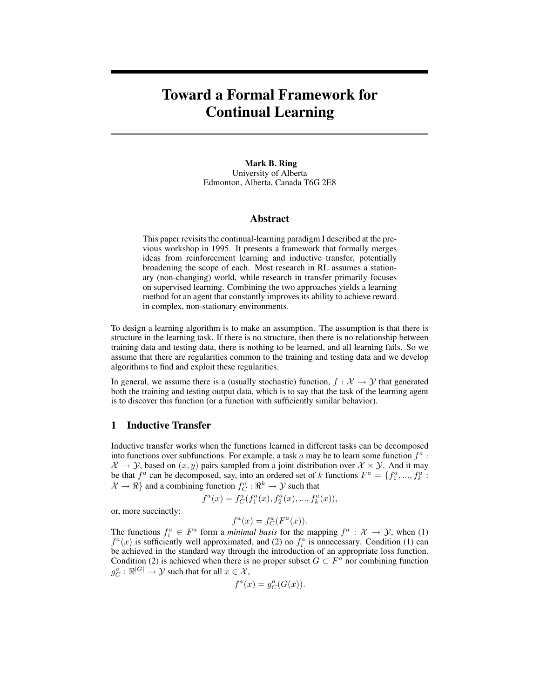# Toward a Formal Framework for Continual Learning

Mark B. Ring University of Alberta Edmonton, Alberta, Canada T6G 2E8

## Abstract

This paper revisits the continual-learning paradigm I described at the previous workshop in 1995. It presents a framework that formally merges ideas from reinforcement learning and inductive transfer, potentially broadening the scope of each. Most research in RL assumes a stationary (non-changing) world, while research in transfer primarily focuses on supervised learning. Combining the two approaches yields a learning method for an agent that constantly improves its ability to achieve reward in complex, non-stationary environments.

To design a learning algorithm is to make an assumption. The assumption is that there is structure in the learning task. If there is no structure, then there is no relationship between training data and testing data, there is nothing to be learned, and all learning fails. So we assume that there are regularities common to the training and testing data and we develop algorithms to find and exploit these regularities.

In general, we assume there is a (usually stochastic) function,  $f : \mathcal{X} \to \mathcal{Y}$  that generated both the training and testing output data, which is to say that the task of the learning agent is to discover this function (or a function with sufficiently similar behavior).

# 1 Inductive Transfer

Inductive transfer works when the functions learned in different tasks can be decomposed into functions over subfunctions. For example, a task a may be to learn some function  $f^a$ :  $\mathcal{X} \to \mathcal{Y}$ , based on  $(x, y)$  pairs sampled from a joint distribution over  $\mathcal{X} \times \mathcal{Y}$ . And it may be that  $f^a$  can be decomposed, say, into an ordered set of k functions  $F^a = \{f_1^a, ..., f_k^a\}$ .  $\mathcal{X} \to \Re$  and a combining function  $f_C^a : \Re^k \to \mathcal{Y}$  such that

$$
f^{a}(x) = f^{a}_{C}(f_{1}^{a}(x), f_{2}^{a}(x), ..., f_{k}^{a}(x)),
$$

or, more succinctly:

$$
f^{a}(x) = f^{a}_{C}(F^{a}(x)).
$$

The functions  $f_i^a \in F^a$  form a *minimal basis* for the mapping  $f^a : \mathcal{X} \to \mathcal{Y}$ , when (1)  $f^a(x)$  is sufficiently well approximated, and (2) no  $f_i^a$  is unnecessary. Condition (1) can be achieved in the standard way through the introduction of an appropriate loss function. Condition (2) is achieved when there is no proper subset  $G \subset F^a$  nor combining function  $g_C^a: \Re^{|G|} \to \mathcal{Y}$  such that for all  $x \in \mathcal{X}$ ,

$$
f^a(x) = g_C^a(G(x)).
$$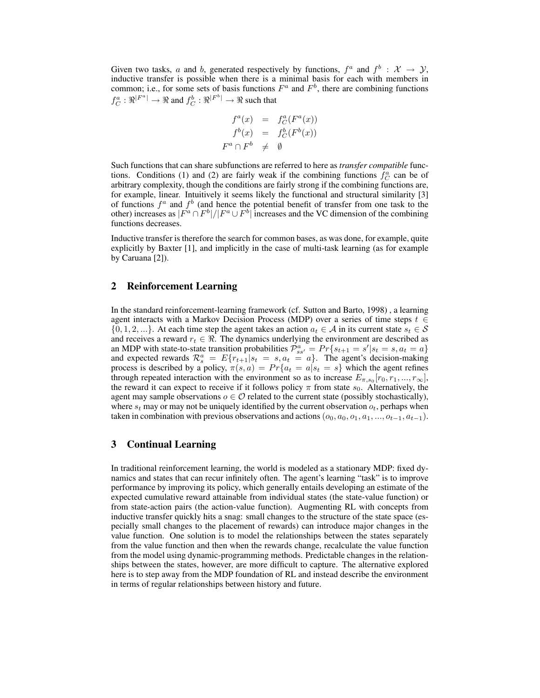Given two tasks, a and b, generated respectively by functions,  $f^a$  and  $f^b$  :  $\mathcal{X} \to \mathcal{Y}$ , inductive transfer is possible when there is a minimal basis for each with members in common; i.e., for some sets of basis functions  $F^a$  and  $F^b$ , there are combining functions  $f_C^a: \Re^{|F^a|} \to \Re$  and  $f_C^b: \Re^{|F^b|} \to \Re$  such that

$$
f^{a}(x) = f^{a}_{C}(F^{a}(x))
$$
  

$$
f^{b}(x) = f^{b}_{C}(F^{b}(x))
$$
  

$$
F^{a} \cap F^{b} \neq \emptyset
$$

Such functions that can share subfunctions are referred to here as *transfer compatible* functions. Conditions (1) and (2) are fairly weak if the combining functions  $\hat{f}_C^a$  can be of arbitrary complexity, though the conditions are fairly strong if the combining functions are, for example, linear. Intuitively it seems likely the functional and structural similarity [3] of functions  $f^a$  and  $f^b$  (and hence the potential benefit of transfer from one task to the other) increases as  $|F^a \cap F^b|/|F^a \cup F^b|$  increases and the VC dimension of the combining functions decreases.

Inductive transfer is therefore the search for common bases, as was done, for example, quite explicitly by Baxter [1], and implicitly in the case of multi-task learning (as for example by Caruana [2]).

# 2 Reinforcement Learning

In the standard reinforcement-learning framework (cf. Sutton and Barto, 1998) , a learning agent interacts with a Markov Decision Process (MDP) over a series of time steps  $t \in$  $\{0, 1, 2, ...\}$ . At each time step the agent takes an action  $a_t \in A$  in its current state  $s_t \in S$ and receives a reward  $r_t \in \Re$ . The dynamics underlying the environment are described as an MDP with state-to-state transition probabilities  $\mathcal{P}_{ss'}^a = Pr\{s_{t+1} = s' | s_t = s, a_t = a\}$ and expected rewards  $\mathcal{R}_s^a = E\{r_{t+1}|s_t = s, a_t = a\}$ . The agent's decision-making process is described by a policy,  $\pi(s, a) = Pr\{a_t = a | s_t = s\}$  which the agent refines through repeated interaction with the environment so as to increase  $E_{\pi,s_0}[r_0,r_1,...,r_{\infty}]$ , the reward it can expect to receive if it follows policy  $\pi$  from state  $s_0$ . Alternatively, the agent may sample observations  $o \in \mathcal{O}$  related to the current state (possibly stochastically), where  $s_t$  may or may not be uniquely identified by the current observation  $o_t$ , perhaps when taken in combination with previous observations and actions  $(o_0, a_0, o_1, a_1, ..., o_{t-1}, a_{t-1})$ .

# 3 Continual Learning

In traditional reinforcement learning, the world is modeled as a stationary MDP: fixed dynamics and states that can recur infinitely often. The agent's learning "task" is to improve performance by improving its policy, which generally entails developing an estimate of the expected cumulative reward attainable from individual states (the state-value function) or from state-action pairs (the action-value function). Augmenting RL with concepts from inductive transfer quickly hits a snag: small changes to the structure of the state space (especially small changes to the placement of rewards) can introduce major changes in the value function. One solution is to model the relationships between the states separately from the value function and then when the rewards change, recalculate the value function from the model using dynamic-programming methods. Predictable changes in the relationships between the states, however, are more difficult to capture. The alternative explored here is to step away from the MDP foundation of RL and instead describe the environment in terms of regular relationships between history and future.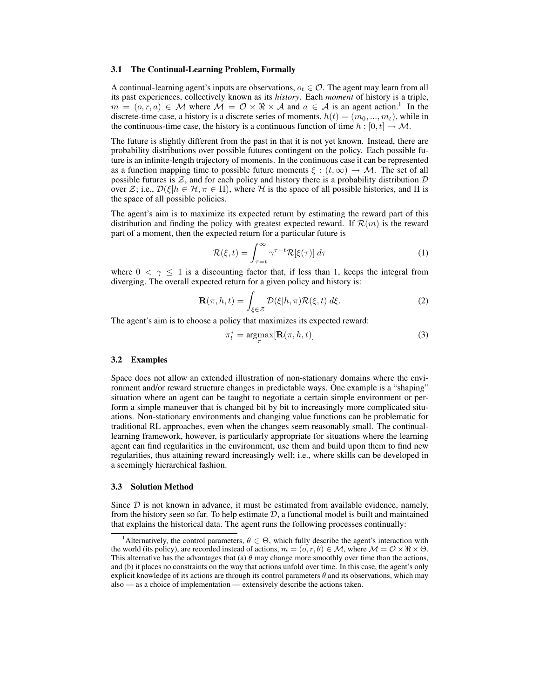#### 3.1 The Continual-Learning Problem, Formally

A continual-learning agent's inputs are observations,  $o_t \in \mathcal{O}$ . The agent may learn from all its past experiences, collectively known as its *history*. Each *moment* of history is a triple,  $m = (o, r, a) \in \mathcal{M}$  where  $\mathcal{M} = \mathcal{O} \times \Re \times \mathcal{A}$  and  $a \in \mathcal{A}$  is an agent action.<sup>1</sup> In the discrete-time case, a history is a discrete series of moments,  $h(t) = (m_0, ..., m_t)$ , while in the continuous-time case, the history is a continuous function of time  $h : [0, t] \to M$ .

The future is slightly different from the past in that it is not yet known. Instead, there are probability distributions over possible futures contingent on the policy. Each possible future is an infinite-length trajectory of moments. In the continuous case it can be represented as a function mapping time to possible future moments  $\xi : (t, \infty) \to M$ . The set of all possible futures is  $Z$ , and for each policy and history there is a probability distribution  $D$ over Z; i.e.,  $\mathcal{D}(\xi | h \in \mathcal{H}, \pi \in \Pi)$ , where H is the space of all possible histories, and  $\Pi$  is the space of all possible policies.

The agent's aim is to maximize its expected return by estimating the reward part of this distribution and finding the policy with greatest expected reward. If  $\mathcal{R}(m)$  is the reward part of a moment, then the expected return for a particular future is

$$
\mathcal{R}(\xi, t) = \int_{\tau=t}^{\infty} \gamma^{\tau-t} \mathcal{R}[\xi(\tau)] d\tau
$$
 (1)

where  $0 < \gamma \leq 1$  is a discounting factor that, if less than 1, keeps the integral from diverging. The overall expected return for a given policy and history is:

$$
\mathbf{R}(\pi, h, t) = \int_{\xi \in \mathcal{Z}} \mathcal{D}(\xi | h, \pi) \mathcal{R}(\xi, t) \, d\xi.
$$
 (2)

The agent's aim is to choose a policy that maximizes its expected reward:

$$
\pi_t^* = \underset{\pi}{\operatorname{argmax}} [\mathbf{R}(\pi, h, t)] \tag{3}
$$

#### 3.2 Examples

Space does not allow an extended illustration of non-stationary domains where the environment and/or reward structure changes in predictable ways. One example is a "shaping" situation where an agent can be taught to negotiate a certain simple environment or perform a simple maneuver that is changed bit by bit to increasingly more complicated situations. Non-stationary environments and changing value functions can be problematic for traditional RL approaches, even when the changes seem reasonably small. The continuallearning framework, however, is particularly appropriate for situations where the learning agent can find regularities in the environment, use them and build upon them to find new regularities, thus attaining reward increasingly well; i.e., where skills can be developed in a seemingly hierarchical fashion.

## 3.3 Solution Method

Since  $D$  is not known in advance, it must be estimated from available evidence, namely, from the history seen so far. To help estimate  $D$ , a functional model is built and maintained that explains the historical data. The agent runs the following processes continually:

<sup>&</sup>lt;sup>1</sup> Alternatively, the control parameters,  $\theta \in \Theta$ , which fully describe the agent's interaction with the world (its policy), are recorded instead of actions,  $m = (o, r, \theta) \in \mathcal{M}$ , where  $\mathcal{M} = \mathcal{O} \times \Re \times \Theta$ . This alternative has the advantages that (a)  $\theta$  may change more smoothly over time than the actions, and (b) it places no constraints on the way that actions unfold over time. In this case, the agent's only explicit knowledge of its actions are through its control parameters  $\theta$  and its observations, which may also — as a choice of implementation — extensively describe the actions taken.